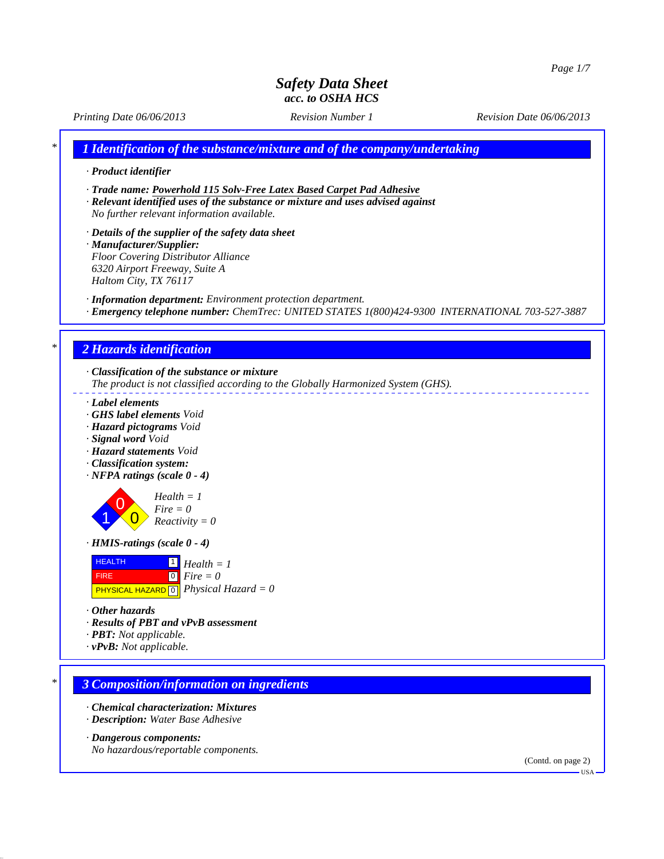*Printing Date 06/06/2013 Revision Number 1 Revision Date 06/06/2013*

*\* 1 Identification of the substance/mixture and of the company/undertaking*

- *· Product identifier*
- *· Trade name: Powerhold 115 Solv-Free Latex Based Carpet Pad Adhesive*
- *· Relevant identified uses of the substance or mixture and uses advised against No further relevant information available.*
- *· Details of the supplier of the safety data sheet · Manufacturer/Supplier: Floor Covering Distributor Alliance 6320 Airport Freeway, Suite A*

*Haltom City, TX 76117*

- *· Information department: Environment protection department.*
- *· Emergency telephone number: ChemTrec: UNITED STATES 1(800)424-9300 INTERNATIONAL 703-527-3887*

# *\* 2 Hazards identification*

- *· Classification of the substance or mixture The product is not classified according to the Globally Harmonized System (GHS).*
- *· Label elements*
- *· GHS label elements Void*
- *· Hazard pictograms Void*
- *· Signal word Void*
- *· Hazard statements Void*
- *· Classification system:*
- *· NFPA ratings (scale 0 4)*



*Reactivity = 0 · HMIS-ratings (scale 0 - 4)*



- *· Other hazards*
- *· Results of PBT and vPvB assessment*
- *· PBT: Not applicable.*
- *· vPvB: Not applicable.*

### *\* 3 Composition/information on ingredients*

- *· Chemical characterization: Mixtures*
- *· Description: Water Base Adhesive*

#### *· Dangerous components:*

*No hazardous/reportable components.*

(Contd. on page 2)

 $-<sup>T</sup>S<sub>A</sub>$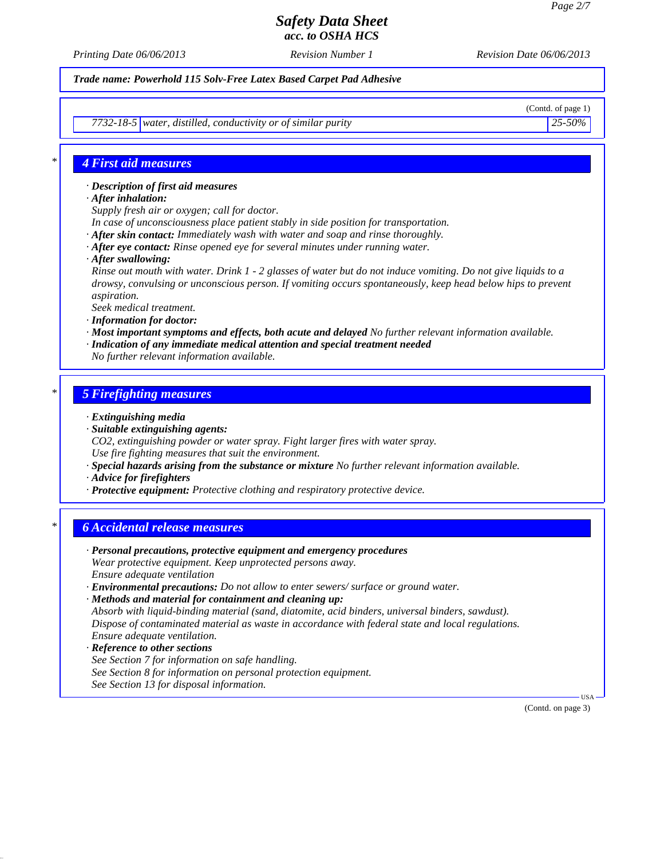*Printing Date 06/06/2013 Revision Number 1 Revision Date 06/06/2013*

*Trade name: Powerhold 115 Solv-Free Latex Based Carpet Pad Adhesive*

(Contd. of page 1)

*7732-18-5 water, distilled, conductivity or of similar purity 25-50%*

### *\* 4 First aid measures*

*· Description of first aid measures*

- *· After inhalation:*
- *Supply fresh air or oxygen; call for doctor.*
- *In case of unconsciousness place patient stably in side position for transportation.*
- *· After skin contact: Immediately wash with water and soap and rinse thoroughly.*
- *· After eye contact: Rinse opened eye for several minutes under running water.*
- *· After swallowing:*

*Rinse out mouth with water. Drink 1 - 2 glasses of water but do not induce vomiting. Do not give liquids to a drowsy, convulsing or unconscious person. If vomiting occurs spontaneously, keep head below hips to prevent aspiration.*

*Seek medical treatment.*

- *· Information for doctor:*
- *· Most important symptoms and effects, both acute and delayed No further relevant information available.*
- *· Indication of any immediate medical attention and special treatment needed*
- *No further relevant information available.*

### *\* 5 Firefighting measures*

- *· Extinguishing media*
- *· Suitable extinguishing agents:*
- *CO2, extinguishing powder or water spray. Fight larger fires with water spray. Use fire fighting measures that suit the environment.*
- *· Special hazards arising from the substance or mixture No further relevant information available.*
- *· Advice for firefighters*
- *· Protective equipment: Protective clothing and respiratory protective device.*

## *\* 6 Accidental release measures*

- *· Personal precautions, protective equipment and emergency procedures Wear protective equipment. Keep unprotected persons away. Ensure adequate ventilation · Environmental precautions: Do not allow to enter sewers/ surface or ground water.*
- *· Methods and material for containment and cleaning up: Absorb with liquid-binding material (sand, diatomite, acid binders, universal binders, sawdust). Dispose of contaminated material as waste in accordance with federal state and local regulations. Ensure adequate ventilation.*
- *· Reference to other sections See Section 7 for information on safe handling. See Section 8 for information on personal protection equipment. See Section 13 for disposal information.*

(Contd. on page 3)

USA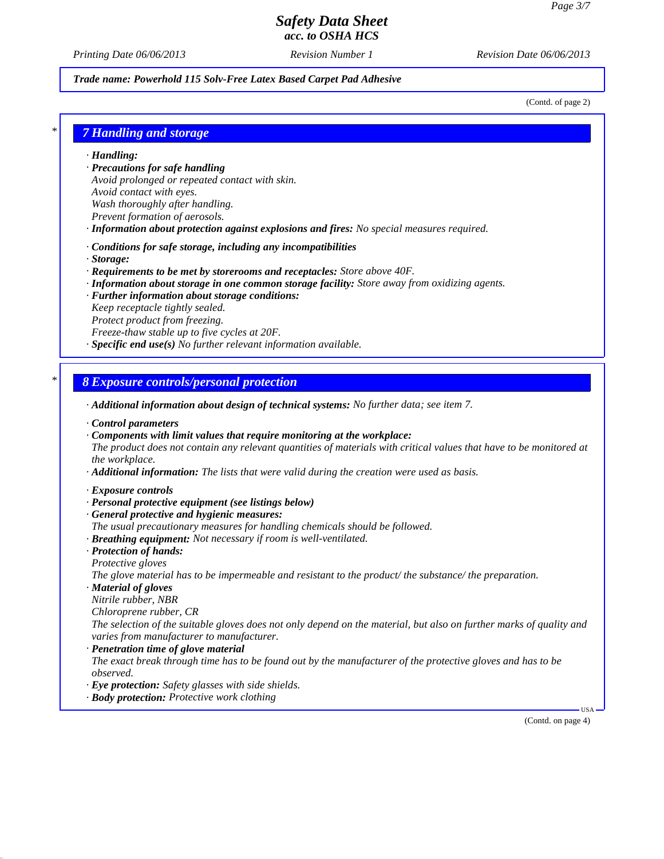*Printing Date 06/06/2013 Revision Number 1 Revision Date 06/06/2013*

#### *Trade name: Powerhold 115 Solv-Free Latex Based Carpet Pad Adhesive*

(Contd. of page 2)

*\* 7 Handling and storage*

*· Handling:*

- *· Precautions for safe handling Avoid prolonged or repeated contact with skin.*
- *Avoid contact with eyes.*

*Wash thoroughly after handling.*

- *Prevent formation of aerosols.*
- *· Information about protection against explosions and fires: No special measures required.*
- *· Conditions for safe storage, including any incompatibilities*
- *· Storage:*
- *· Requirements to be met by storerooms and receptacles: Store above 40F.*
- *· Information about storage in one common storage facility: Store away from oxidizing agents.*
- *· Further information about storage conditions:*
- *Keep receptacle tightly sealed.*
- *Protect product from freezing.*

*Freeze-thaw stable up to five cycles at 20F.*

*· Specific end use(s) No further relevant information available.*

### *\* 8 Exposure controls/personal protection*

- *· Additional information about design of technical systems: No further data; see item 7.*
- *· Control parameters*
- *· Components with limit values that require monitoring at the workplace:*
- *The product does not contain any relevant quantities of materials with critical values that have to be monitored at the workplace.*
- *· Additional information: The lists that were valid during the creation were used as basis.*
- *· Exposure controls*
- *· Personal protective equipment (see listings below)*
- *· General protective and hygienic measures:*
- *The usual precautionary measures for handling chemicals should be followed.*
- *· Breathing equipment: Not necessary if room is well-ventilated.*
- *· Protection of hands: Protective gloves*
- *The glove material has to be impermeable and resistant to the product/ the substance/ the preparation.*
- *· Material of gloves*
- *Nitrile rubber, NBR*
- *Chloroprene rubber, CR*
- *The selection of the suitable gloves does not only depend on the material, but also on further marks of quality and varies from manufacturer to manufacturer.*
- *· Penetration time of glove material*
- *The exact break through time has to be found out by the manufacturer of the protective gloves and has to be observed.*
- *· Eye protection: Safety glasses with side shields.*
- *· Body protection: Protective work clothing*

(Contd. on page 4)

USA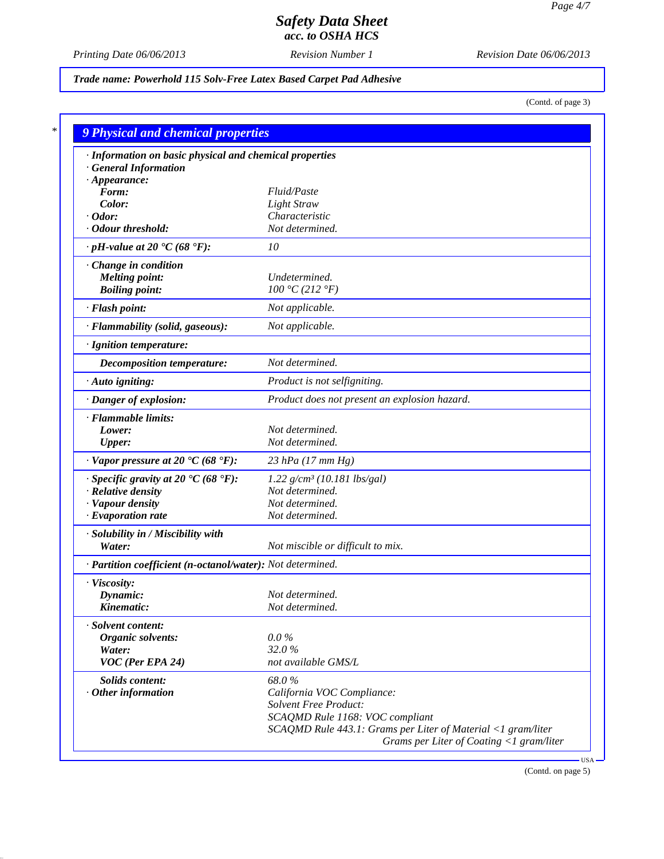*Printing Date 06/06/2013 Revision Number 1 Revision Date 06/06/2013*

*Trade name: Powerhold 115 Solv-Free Latex Based Carpet Pad Adhesive*

(Contd. of page 3)

| · Information on basic physical and chemical properties      |                                                              |
|--------------------------------------------------------------|--------------------------------------------------------------|
| <b>General Information</b>                                   |                                                              |
| $\cdot$ Appearance:                                          |                                                              |
| Form:                                                        | Fluid/Paste                                                  |
| Color:                                                       | <b>Light Straw</b>                                           |
| $\cdot$ Odor:<br>· Odour threshold:                          | Characteristic<br>Not determined.                            |
| $\cdot$ pH-value at 20 $\textdegree$ C (68 $\textdegree$ F): | 10                                                           |
|                                                              |                                                              |
| Change in condition                                          |                                                              |
| <b>Melting point:</b>                                        | Undetermined.                                                |
| <b>Boiling point:</b>                                        | 100 °C (212 °F)                                              |
| · Flash point:                                               | Not applicable.                                              |
| · Flammability (solid, gaseous):                             | Not applicable.                                              |
| · Ignition temperature:                                      |                                                              |
| Decomposition temperature:                                   | Not determined.                                              |
| · Auto igniting:                                             | Product is not selfigniting.                                 |
| · Danger of explosion:                                       | Product does not present an explosion hazard.                |
| · Flammable limits:                                          |                                                              |
| Lower:                                                       | Not determined.                                              |
| <b>Upper:</b>                                                | Not determined.                                              |
| $\cdot$ Vapor pressure at 20 $\cdot$ C (68 $\cdot$ F):       | $23$ hPa (17 mm Hg)                                          |
| $\cdot$ Specific gravity at 20 °C (68 °F):                   | $1.22$ g/cm <sup>3</sup> (10.181 lbs/gal)                    |
| · Relative density                                           | Not determined.                                              |
| · Vapour density                                             | Not determined.                                              |
| $\cdot$ Evaporation rate                                     | Not determined.                                              |
| · Solubility in / Miscibility with                           |                                                              |
| Water:                                                       | Not miscible or difficult to mix.                            |
| · Partition coefficient (n-octanol/water): Not determined.   |                                                              |
| · Viscosity:                                                 |                                                              |
| Dynamic:                                                     | Not determined.                                              |
| Kinematic:                                                   | Not determined.                                              |
| · Solvent content:                                           |                                                              |
| Organic solvents:                                            | $0.0\%$                                                      |
| Water:                                                       | 32.0%                                                        |
| VOC (Per EPA 24)                                             | not available GMS/L                                          |
| Solids content:                                              | 68.0%                                                        |
| $·$ Other information                                        | California VOC Compliance:                                   |
|                                                              | <b>Solvent Free Product:</b>                                 |
|                                                              | SCAQMD Rule 1168: VOC compliant                              |
|                                                              | SCAQMD Rule 443.1: Grams per Liter of Material <1 gram/liter |

(Contd. on page 5)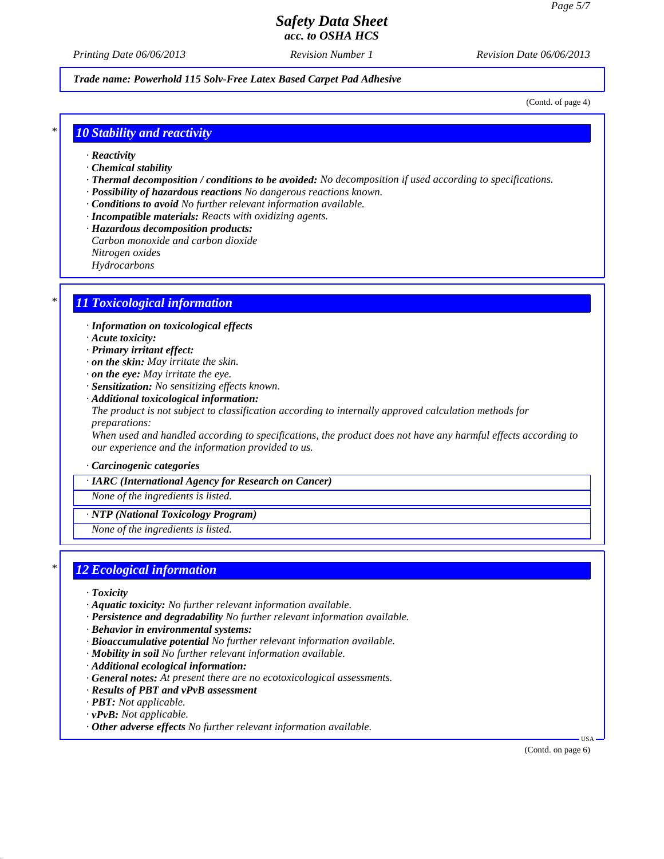*Printing Date 06/06/2013 Revision Number 1 Revision Date 06/06/2013*

*Trade name: Powerhold 115 Solv-Free Latex Based Carpet Pad Adhesive*

(Contd. of page 4)

### *\* 10 Stability and reactivity*

- *· Reactivity*
- *· Chemical stability*
- *· Thermal decomposition / conditions to be avoided: No decomposition if used according to specifications.*
- *· Possibility of hazardous reactions No dangerous reactions known.*
- *· Conditions to avoid No further relevant information available.*
- *· Incompatible materials: Reacts with oxidizing agents.*
- *· Hazardous decomposition products:*
- *Carbon monoxide and carbon dioxide*
- *Nitrogen oxides*
- *Hydrocarbons*

## *\* 11 Toxicological information*

- *· Information on toxicological effects*
- *· Acute toxicity:*
- *· Primary irritant effect:*
- *· on the skin: May irritate the skin.*
- *· on the eye: May irritate the eye.*
- *· Sensitization: No sensitizing effects known.*
- *· Additional toxicological information: The product is not subject to classification according to internally approved calculation methods for preparations:*

*When used and handled according to specifications, the product does not have any harmful effects according to our experience and the information provided to us.*

*· Carcinogenic categories*

*· IARC (International Agency for Research on Cancer)*

*None of the ingredients is listed.*

*· NTP (National Toxicology Program)*

*None of the ingredients is listed.*

### *\* 12 Ecological information*

- *· Toxicity*
- *· Aquatic toxicity: No further relevant information available.*
- *· Persistence and degradability No further relevant information available.*
- *· Behavior in environmental systems:*
- *· Bioaccumulative potential No further relevant information available.*
- *· Mobility in soil No further relevant information available.*
- *· Additional ecological information:*
- *· General notes: At present there are no ecotoxicological assessments.*
- *· Results of PBT and vPvB assessment*
- *· PBT: Not applicable.*
- *· vPvB: Not applicable.*
- *· Other adverse effects No further relevant information available.*

(Contd. on page 6)

USA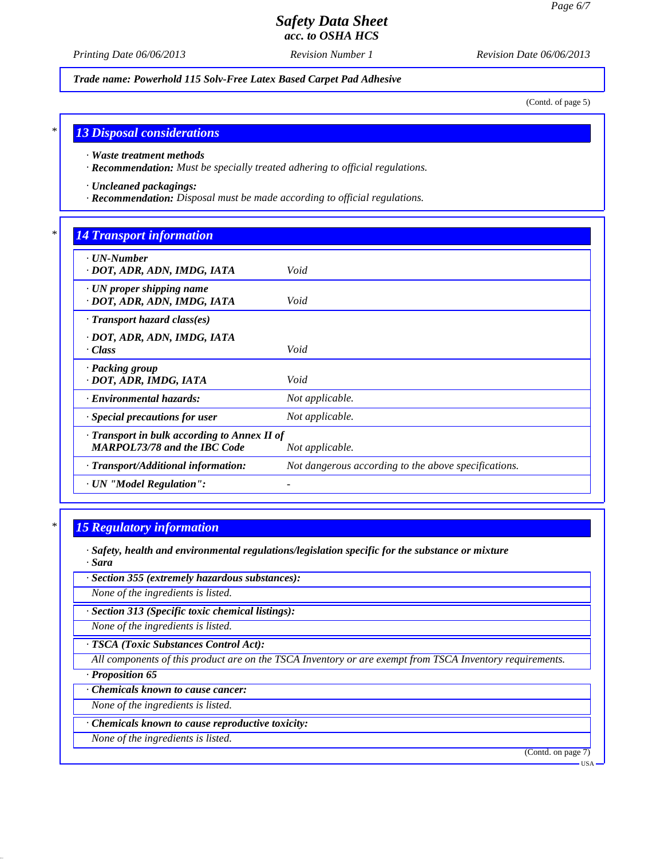*Printing Date 06/06/2013 Revision Number 1 Revision Date 06/06/2013*

*Trade name: Powerhold 115 Solv-Free Latex Based Carpet Pad Adhesive*

(Contd. of page 5)

### *\* 13 Disposal considerations*

*· Waste treatment methods*

*· Recommendation: Must be specially treated adhering to official regulations.*

*· Uncleaned packagings:*

*· Recommendation: Disposal must be made according to official regulations.*

### *\* 14 Transport information*

| $\cdot$ UN-Number<br>· DOT, ADR, ADN, IMDG, IATA                                    | Void                                                 |  |
|-------------------------------------------------------------------------------------|------------------------------------------------------|--|
| $\cdot$ UN proper shipping name<br>· DOT, ADR, ADN, IMDG, IATA                      | Void                                                 |  |
| $\cdot$ Transport hazard class(es)                                                  |                                                      |  |
| · DOT, ADR, ADN, IMDG, IATA<br>· Class                                              | Void                                                 |  |
| · Packing group<br>· DOT, ADR, IMDG, IATA                                           | Void                                                 |  |
| <b>Environmental hazards:</b>                                                       | Not applicable.                                      |  |
| Special precautions for user                                                        | Not applicable.                                      |  |
| · Transport in bulk according to Annex II of<br><b>MARPOL73/78 and the IBC Code</b> | Not applicable.                                      |  |
| · Transport/Additional information:                                                 | Not dangerous according to the above specifications. |  |
| · UN "Model Regulation":                                                            |                                                      |  |

### *\* 15 Regulatory information*

- *· Safety, health and environmental regulations/legislation specific for the substance or mixture · Sara*
- *· Section 355 (extremely hazardous substances):*

*None of the ingredients is listed.*

*· Section 313 (Specific toxic chemical listings):*

*None of the ingredients is listed.*

*· TSCA (Toxic Substances Control Act):*

*All components of this product are on the TSCA Inventory or are exempt from TSCA Inventory requirements.*

*· Proposition 65*

*· Chemicals known to cause cancer:*

*None of the ingredients is listed.*

*· Chemicals known to cause reproductive toxicity:*

*None of the ingredients is listed.*

(Contd. on page 7)

USA